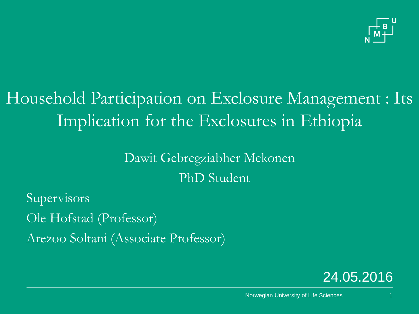

# Household Participation on Exclosure Management : Its Implication for the Exclosures in Ethiopia

### Dawit Gebregziabher Mekonen PhD Student

Supervisors Ole Hofstad (Professor)

Arezoo Soltani (Associate Professor)

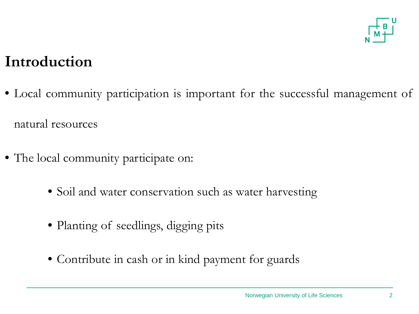

### **Introduction**

• Local community participation is important for the successful management of natural resources

- The local community participate on:
	- Soil and water conservation such as water harvesting
	- Planting of seedlings, digging pits
	- Contribute in cash or in kind payment for guards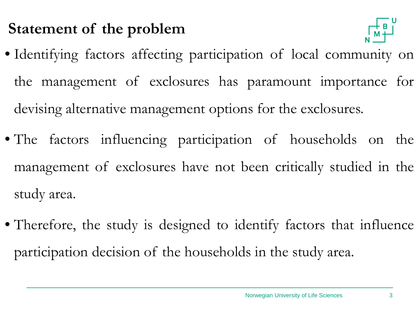### **Statement of the problem**



- Identifying factors affecting participation of local community on the management of exclosures has paramount importance for devising alternative management options for the exclosures.
- The factors influencing participation of households on the management of exclosures have not been critically studied in the study area.
- Therefore, the study is designed to identify factors that influence participation decision of the households in the study area.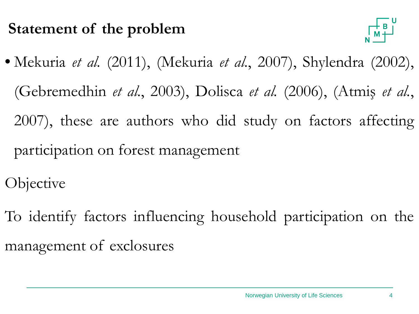### **Statement of the problem**



- Mekuria *et al.* (2011), (Mekuria *et al.*, 2007), Shylendra (2002), (Gebremedhin *et al.*, 2003), Dolisca *et al.* (2006), (Atmiş *et al.*, 2007), these are authors who did study on factors affecting participation on forest management
- **Objective**
- To identify factors influencing household participation on the management of exclosures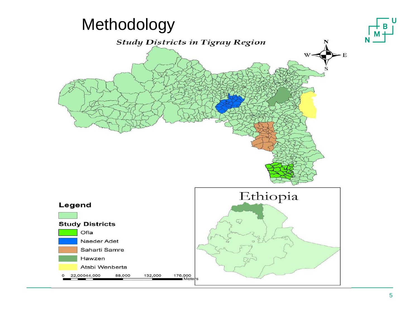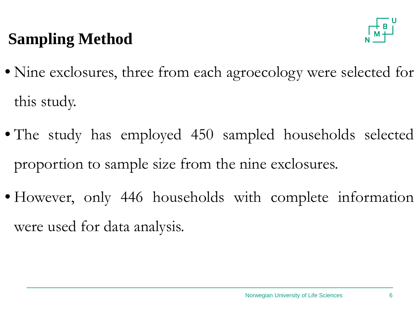## **Sampling Method**



- Nine exclosures, three from each agroecology were selected for this study.
- The study has employed 450 sampled households selected proportion to sample size from the nine exclosures.
- However, only 446 households with complete information were used for data analysis.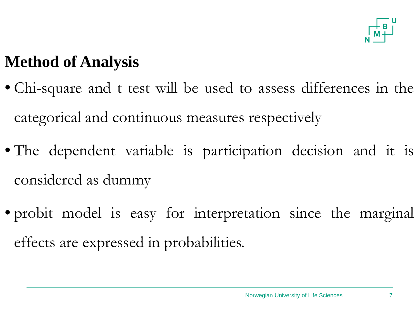

## **Method of Analysis**

- Chi-square and t test will be used to assess differences in the categorical and continuous measures respectively
- The dependent variable is participation decision and it is considered as dummy
- probit model is easy for interpretation since the marginal effects are expressed in probabilities.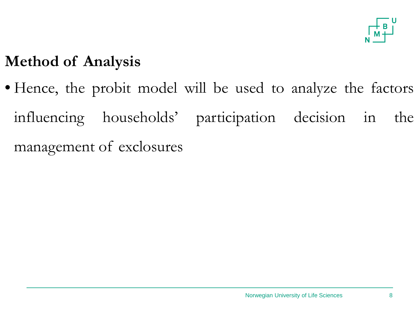

### **Method of Analysis**

• Hence, the probit model will be used to analyze the factors influencing households' participation decision in the management of exclosures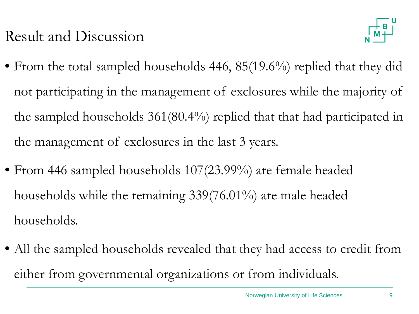

- From the total sampled households 446, 85(19.6%) replied that they did not participating in the management of exclosures while the majority of the sampled households 361(80.4%) replied that that had participated in the management of exclosures in the last 3 years.
- From 446 sampled households 107(23.99%) are female headed households while the remaining 339(76.01%) are male headed households.
- All the sampled households revealed that they had access to credit from either from governmental organizations or from individuals.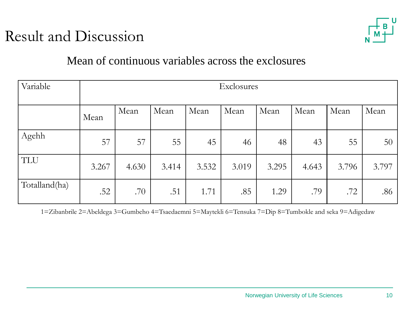

#### Mean of continuous variables across the exclosures

| Variable      | Exclosures |       |       |       |       |       |       |       |       |
|---------------|------------|-------|-------|-------|-------|-------|-------|-------|-------|
|               | Mean       | Mean  | Mean  | Mean  | Mean  | Mean  | Mean  | Mean  | Mean  |
| Agehh         | 57         | 57    | 55    | 45    | 46    | 48    | 43    | 55    | 50    |
| <b>TLU</b>    | 3.267      | 4.630 | 3.414 | 3.532 | 3.019 | 3.295 | 4.643 | 3.796 | 3.797 |
| Totalland(ha) | .52        | .70   | .51   | 1.71  | .85   | 1.29  | .79   | .72   | .86   |

1=Zibanbrile 2=Abeldega 3=Gumbeho 4=Tsaedaemni 5=Maytekli 6=Tensuka 7=Dip 8=Tumbokle and seka 9=Adigedaw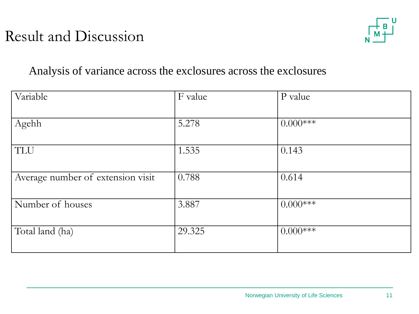

#### Analysis of variance across the exclosures across the exclosures

| Variable                          | F value | P value     |
|-----------------------------------|---------|-------------|
| Agehh                             | 5.278   | $0.000***$  |
| TLU                               | 1.535   | 0.143       |
| Average number of extension visit | 0.788   | 0.614       |
| Number of houses                  | 3.887   | $0.000$ *** |
| Total land (ha)                   | 29.325  | $0.000***$  |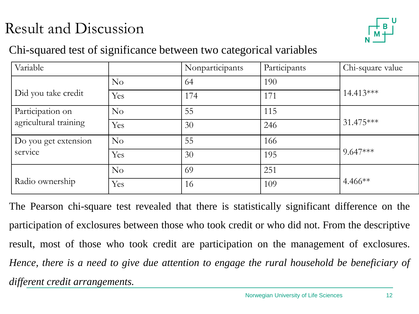

#### Chi-squared test of significance between two categorical variables

| Variable              |          | Nonparticipants | Participants | Chi-square value |  |
|-----------------------|----------|-----------------|--------------|------------------|--|
|                       | No       | 64              | 190          |                  |  |
| Did you take credit   | Yes      | 174             | 171          | $14.413***$      |  |
| Participation on      | No       | 55              | 115          | 31.475***        |  |
| agricultural training | Yes      | 30              | 246          |                  |  |
| Do you get extension  | No       | 55              | 166          | $9.647***$       |  |
| service               | Yes      | 30              | 195          |                  |  |
|                       | $\rm No$ | 69              | 251          |                  |  |
| Radio ownership       | Yes      | 16              | 109          | $4.466**$        |  |

The Pearson chi-square test revealed that there is statistically significant difference on the participation of exclosures between those who took credit or who did not. From the descriptive result, most of those who took credit are participation on the management of exclosures. *Hence, there is a need to give due attention to engage the rural household be beneficiary of different credit arrangements.*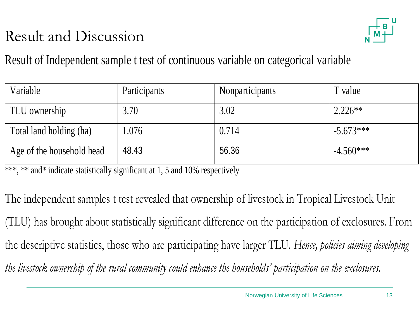



Result of Independent sample t test of continuous variable on categorical variable

| Variable                  | Participants | Nonparticipants | T value     |
|---------------------------|--------------|-----------------|-------------|
| TLU ownership             | 3.70         | 3.02            | $2.226**$   |
| Total land holding (ha)   | 1.076        | 0.714           | $-5.673***$ |
| Age of the household head | 48.43        | 56.36           | $-4.560***$ |

\*\*\*, \*\* and\* indicate statistically significant at 1, 5 and 10% respectively

The independent samples t test revealed that ownership of livestock in Tropical Livestock Unit (TLU) has brought about statistically significant difference on the participation of exclosures. From the descriptive statistics, those who are participating have larger TLU. *Hence, policies aiming developing the livestock ownership of the rural community could enhance the households' participation on the exclosures.*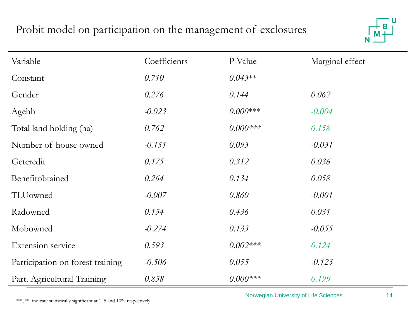#### Probit model on participation on the management of exclosures



| Variable                         | Coefficients | P Value     | Marginal effect |
|----------------------------------|--------------|-------------|-----------------|
| Constant                         | 0.710        | $0.043**$   |                 |
| Gender                           | 0.276        | 0.144       | 0.062           |
| Agehh                            | $-0.023$     | $0.000***$  | $-0.004$        |
| Total land holding (ha)          | 0.762        | $0.000$ *** | 0.158           |
| Number of house owned            | $-0.151$     | 0.093       | $-0.031$        |
| Getcredit                        | 0.175        | 0.312       | 0.036           |
| Benefitobtained                  | 0.264        | 0.134       | 0.058           |
| TLUowned                         | $-0.007$     | 0.860       | $-0.001$        |
| Radowned                         | 0.154        | 0.436       | 0.031           |
| Mobowned                         | $-0.274$     | 0.133       | $-0.055$        |
| Extension service                | 0.593        | $0.002***$  | 0.124           |
| Participation on forest training | $-0.506$     | 0.055       | $-0.123$        |
| Part. Agricultural Training      | 0.858        | $0.000$ *** | 0.199           |

\*\*\*, \*\* indicate statistically significant at 1, 5 and 10% respectively

Norwegian University of Life Sciences 14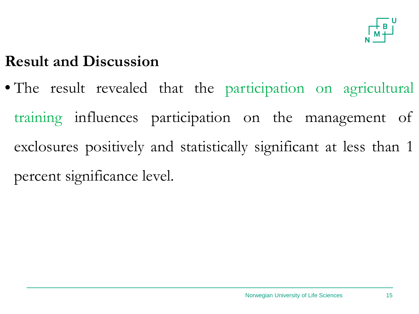

• The result revealed that the participation on agricultural training influences participation on the management of exclosures positively and statistically significant at less than 1 percent significance level.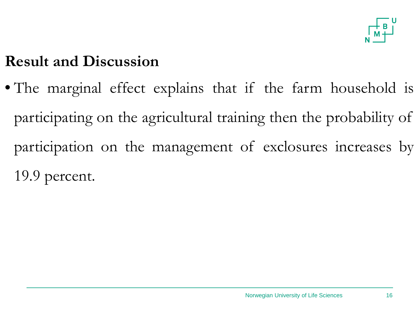

• The marginal effect explains that if the farm household is participating on the agricultural training then the probability of participation on the management of exclosures increases by 19.9 percent.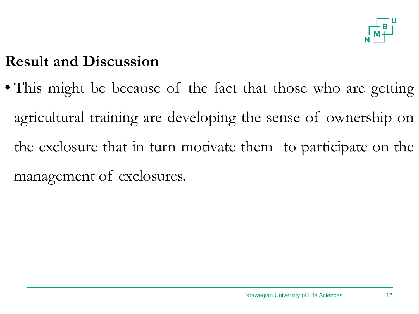

• This might be because of the fact that those who are getting agricultural training are developing the sense of ownership on the exclosure that in turn motivate them to participate on the management of exclosures.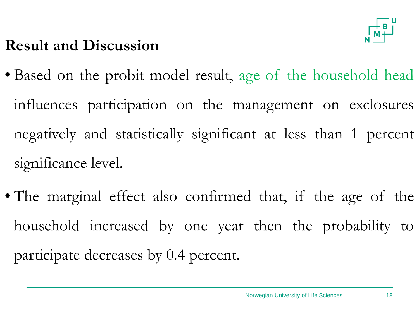

- Based on the probit model result, age of the household head influences participation on the management on exclosures negatively and statistically significant at less than 1 percent significance level.
- The marginal effect also confirmed that, if the age of the household increased by one year then the probability to participate decreases by 0.4 percent.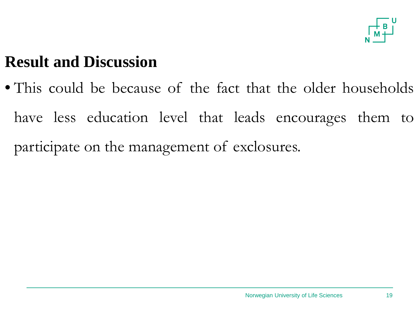

• This could be because of the fact that the older households have less education level that leads encourages them to participate on the management of exclosures.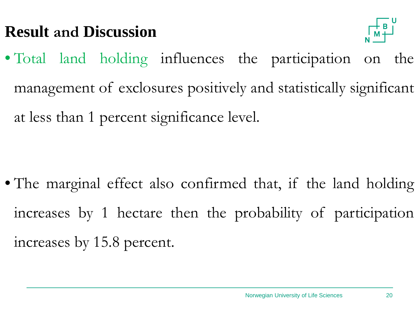

• Total land holding influences the participation on the management of exclosures positively and statistically significant at less than 1 percent significance level.

• The marginal effect also confirmed that, if the land holding increases by 1 hectare then the probability of participation increases by 15.8 percent.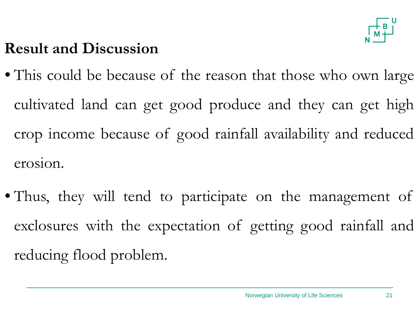

- This could be because of the reason that those who own large cultivated land can get good produce and they can get high crop income because of good rainfall availability and reduced erosion.
- Thus, they will tend to participate on the management of exclosures with the expectation of getting good rainfall and reducing flood problem.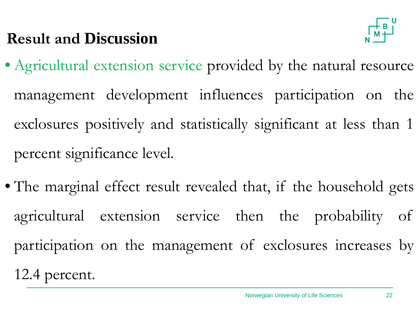

- Agricultural extension service provided by the natural resource management development influences participation on the exclosures positively and statistically significant at less than 1 percent significance level.
- The marginal effect result revealed that, if the household gets agricultural extension service then the probability of participation on the management of exclosures increases by 12.4 percent.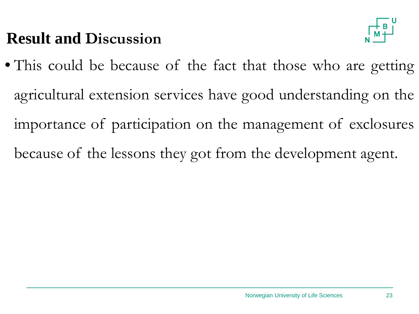

• This could be because of the fact that those who are getting agricultural extension services have good understanding on the importance of participation on the management of exclosures because of the lessons they got from the development agent.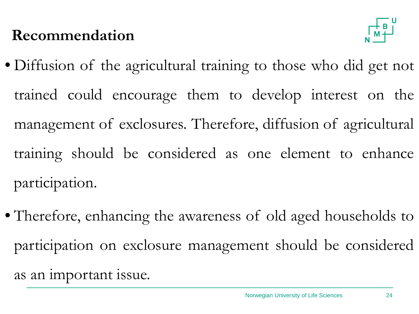### **Recommendation**



- Diffusion of the agricultural training to those who did get not trained could encourage them to develop interest on the management of exclosures*.* Therefore, diffusion of agricultural training should be considered as one element to enhance participation.
- Therefore, enhancing the awareness of old aged households to participation on exclosure management should be considered as an important issue.